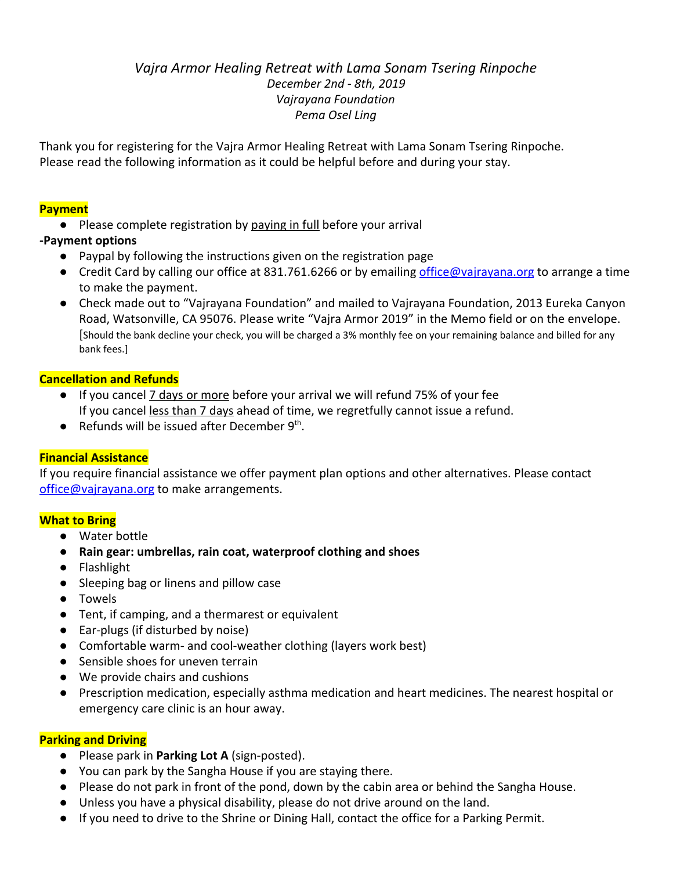# *Vajra Armor Healing Retreat with Lama Sonam Tsering Rinpoche December 2nd - 8th, 2019 Vajrayana Foundation Pema Osel Ling*

Thank you for registering for the Vajra Armor Healing Retreat with Lama Sonam Tsering Rinpoche. Please read the following information as it could be helpful before and during your stay.

## **Payment**

**●** Please complete registration by paying in full before your arrival

## **-Payment options**

- Paypal by following the instructions given on the registration page
- Credit Card by calling our office at 831.761.6266 or by emailing [office@vajrayana.org](mailto:office@vajrayana.org) to arrange a time to make the payment.
- **●** Check made out to "Vajrayana Foundation" and mailed to Vajrayana Foundation, 2013 Eureka Canyon Road, Watsonville, CA 95076. Please write "Vajra Armor 2019" in the Memo field or on the envelope. [Should the bank decline your check, you will be charged a 3% monthly fee on your remaining balance and billed for any bank fees.]

## **Cancellation and Refunds**

- **●** If you cancel 7 days or more before your arrival we will refund 75% of your fee If you cancel less than 7 days ahead of time, we regretfully cannot issue a refund.
- Refunds will be issued after December 9<sup>th</sup>.

## **Financial Assistance**

If you require financial assistance we offer payment plan options and other alternatives. Please contact [office@vajrayana.org](mailto:office@vajrayana.org) to make arrangements.

## **What to Bring**

- Water bottle
- **● Rain gear: umbrellas, rain coat, waterproof clothing and shoes**
- Flashlight
- Sleeping bag or linens and pillow case
- Towels
- Tent, if camping, and a thermarest or equivalent
- Ear-plugs (if disturbed by noise)
- Comfortable warm- and cool-weather clothing (layers work best)
- Sensible shoes for uneven terrain
- We provide chairs and cushions
- Prescription medication, especially asthma medication and heart medicines. The nearest hospital or emergency care clinic is an hour away.

## **Parking and Driving**

- Please park in **Parking Lot A** (sign-posted).
- You can park by the Sangha House if you are staying there.
- Please do not park in front of the pond, down by the cabin area or behind the Sangha House.
- Unless you have a physical disability, please do not drive around on the land.
- If you need to drive to the Shrine or Dining Hall, contact the office for a Parking Permit.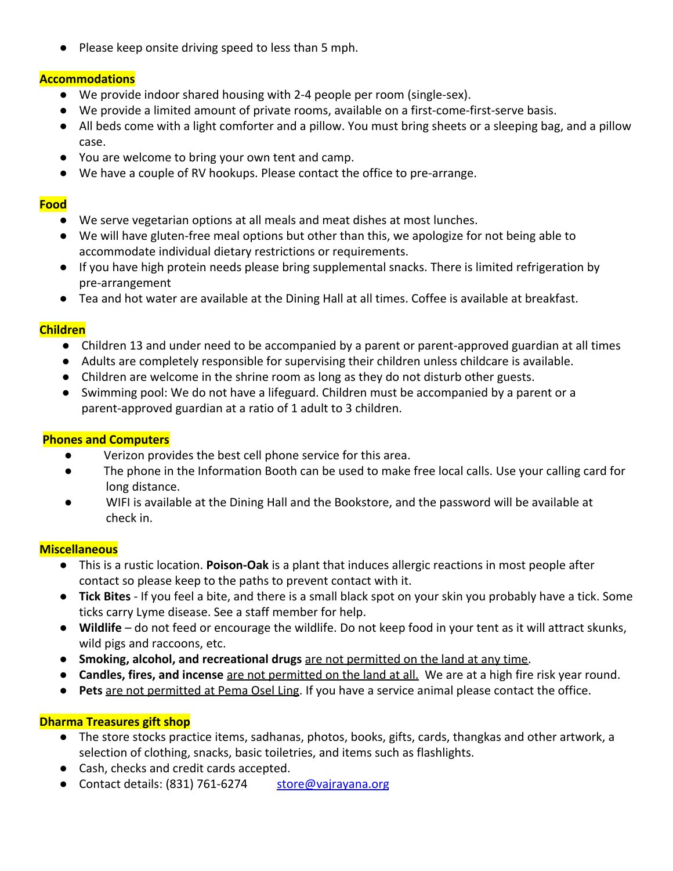● Please keep onsite driving speed to less than 5 mph.

#### **Accommodations**

- **●** We provide indoor shared housing with 2-4 people per room (single-sex).
- We provide a limited amount of private rooms, available on a first-come-first-serve basis.
- **●** All beds come with a light comforter and a pillow. You must bring sheets or a sleeping bag, and a pillow case.
- **●** You are welcome to bring your own tent and camp.
- **●** We have a couple of RV hookups. Please contact the office to pre-arrange.

#### **Food**

- We serve vegetarian options at all meals and meat dishes at most lunches.
- We will have gluten-free meal options but other than this, we apologize for not being able to accommodate individual dietary restrictions or requirements.
- If you have high protein needs please bring supplemental snacks. There is limited refrigeration by pre-arrangement
- Tea and hot water are available at the Dining Hall at all times. Coffee is available at breakfast.

#### **Children**

- **●** Children 13 and under need to be accompanied by a parent or parent-approved guardian at all times
- **●** Adults are completely responsible for supervising their children unless childcare is available.
- **●** Children are welcome in the shrine room as long as they do not disturb other guests.
- **●** Swimming pool: We do not have a lifeguard. Children must be accompanied by a parent or a parent-approved guardian at a ratio of 1 adult to 3 children.

#### **Phones and Computers**

- Verizon provides the best cell phone service for this area.
- The phone in the Information Booth can be used to make free local calls. Use your calling card for long distance.
- WIFI is available at the Dining Hall and the Bookstore, and the password will be available at check in.

#### **Miscellaneous**

- This is a rustic location. **Poison-Oak** is a plant that induces allergic reactions in most people after contact so please keep to the paths to prevent contact with it.
- **Tick Bites** If you feel a bite, and there is a small black spot on your skin you probably have a tick. Some ticks carry Lyme disease. See a staff member for help.
- **Wildlife**  do not feed or encourage the wildlife. Do not keep food in your tent as it will attract skunks, wild pigs and raccoons, etc.
- **Smoking, alcohol, and recreational drugs** are not permitted on the land at any time.
- **Candles, fires, and incense** are not permitted on the land at all. We are at a high fire risk year round.
- **Pets** are not permitted at Pema Osel Ling. If you have a service animal please contact the office.

## **Dharma Treasures gift shop**

- The store stocks practice items, sadhanas, photos, books, gifts, cards, thangkas and other artwork, a selection of clothing, snacks, basic toiletries, and items such as flashlights.
- Cash, checks and credit cards accepted.
- Contact details: (831) 761-6274 [store@vajrayana.org](mailto:store@vajrayana.org)